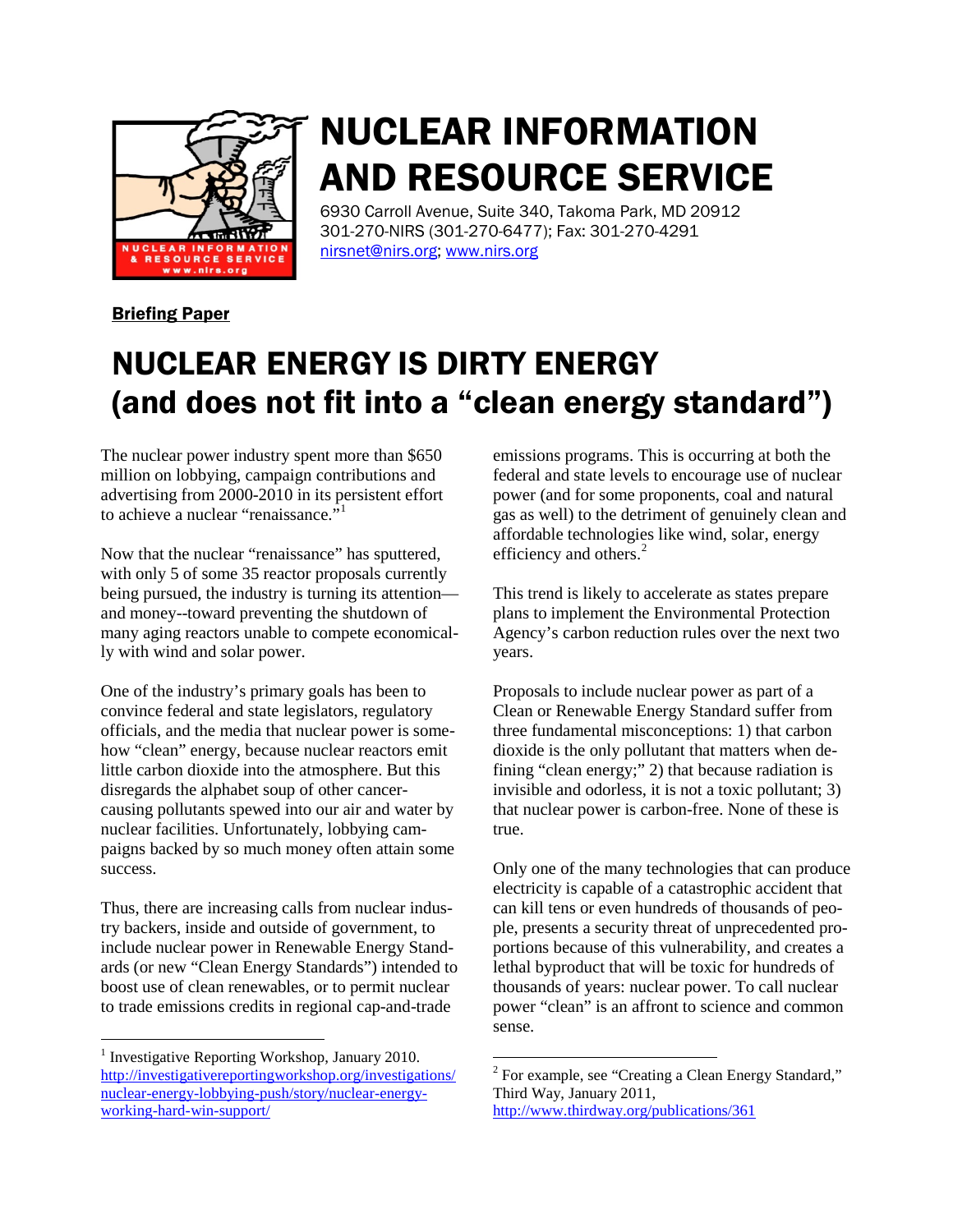

# NUCLEAR INFORMATION AND RESOURCE SERVICE

6930 Carroll Avenue, Suite 340, Takoma Park, MD 20912 301-270-NIRS (301-270-6477); Fax: 301-270-4291 [nirsnet@nirs.org;](mailto:nirsnet@nirs.org) [www.nirs.org](http://www.nirs.org/)

Briefing Paper

# NUCLEAR ENERGY IS DIRTY ENERGY (and does not fit into a "clean energy standard")

The nuclear power industry spent more than \$650 million on lobbying, campaign contributions and advertising from 2000-2010 in its persistent effort to achieve a nuclear "renaissance."<sup>[1](#page-0-0)</sup>

Now that the nuclear "renaissance" has sputtered, with only 5 of some 35 reactor proposals currently being pursued, the industry is turning its attention and money--toward preventing the shutdown of many aging reactors unable to compete economically with wind and solar power.

One of the industry's primary goals has been to convince federal and state legislators, regulatory officials, and the media that nuclear power is somehow "clean" energy, because nuclear reactors emit little carbon dioxide into the atmosphere. But this disregards the alphabet soup of other cancercausing pollutants spewed into our air and water by nuclear facilities. Unfortunately, lobbying campaigns backed by so much money often attain some success.

Thus, there are increasing calls from nuclear industry backers, inside and outside of government, to include nuclear power in Renewable Energy Standards (or new "Clean Energy Standards") intended to boost use of clean renewables, or to permit nuclear to trade emissions credits in regional cap-and-trade

emissions programs. This is occurring at both the federal and state levels to encourage use of nuclear power (and for some proponents, coal and natural gas as well) to the detriment of genuinely clean and affordable technologies like wind, solar, energy efficiency and others.<sup>[2](#page-0-1)</sup>

This trend is likely to accelerate as states prepare plans to implement the Environmental Protection Agency's carbon reduction rules over the next two years.

Proposals to include nuclear power as part of a Clean or Renewable Energy Standard suffer from three fundamental misconceptions: 1) that carbon dioxide is the only pollutant that matters when defining "clean energy;" 2) that because radiation is invisible and odorless, it is not a toxic pollutant; 3) that nuclear power is carbon-free. None of these is true.

Only one of the many technologies that can produce electricity is capable of a catastrophic accident that can kill tens or even hundreds of thousands of people, presents a security threat of unprecedented proportions because of this vulnerability, and creates a lethal byproduct that will be toxic for hundreds of thousands of years: nuclear power. To call nuclear power "clean" is an affront to science and common sense.

<span id="page-0-1"></span><span id="page-0-0"></span> $<sup>1</sup>$  Investigative Reporting Workshop, January 2010.</sup> [http://investigativereportingworkshop.org/investigations/](http://investigativereportingworkshop.org/investigations/nuclear-energy-lobbying-push/story/nuclear-energy-working-hard-win-support/) [nuclear-energy-lobbying-push/story/nuclear-energy](http://investigativereportingworkshop.org/investigations/nuclear-energy-lobbying-push/story/nuclear-energy-working-hard-win-support/)[working-hard-win-support/](http://investigativereportingworkshop.org/investigations/nuclear-energy-lobbying-push/story/nuclear-energy-working-hard-win-support/)

<sup>&</sup>lt;sup>2</sup> For example, see "Creating a Clean Energy Standard," Third Way, January 2011, <http://www.thirdway.org/publications/361>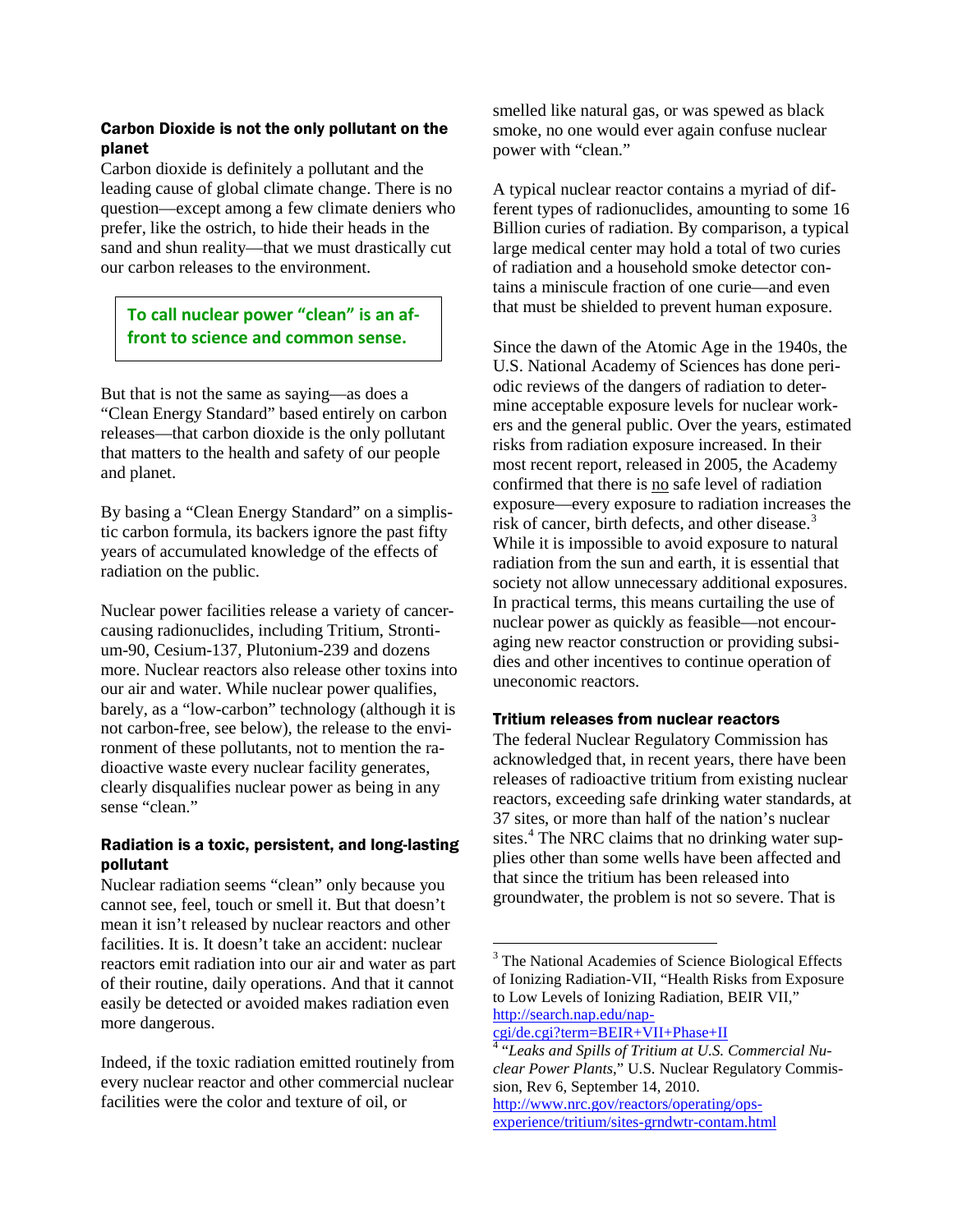## Carbon Dioxide is not the only pollutant on the planet

Carbon dioxide is definitely a pollutant and the leading cause of global climate change. There is no question—except among a few climate deniers who prefer, like the ostrich, to hide their heads in the sand and shun reality—that we must drastically cut our carbon releases to the environment.

**To call nuclear power "clean" is an affront to science and common sense.**

But that is not the same as saying—as does a "Clean Energy Standard" based entirely on carbon releases—that carbon dioxide is the only pollutant that matters to the health and safety of our people and planet.

By basing a "Clean Energy Standard" on a simplistic carbon formula, its backers ignore the past fifty years of accumulated knowledge of the effects of radiation on the public.

Nuclear power facilities release a variety of cancercausing radionuclides, including Tritium, Strontium-90, Cesium-137, Plutonium-239 and dozens more. Nuclear reactors also release other toxins into our air and water. While nuclear power qualifies, barely, as a "low-carbon" technology (although it is not carbon-free, see below), the release to the environment of these pollutants, not to mention the radioactive waste every nuclear facility generates, clearly disqualifies nuclear power as being in any sense "clean."

#### Radiation is a toxic, persistent, and long-lasting pollutant

<span id="page-1-0"></span>Nuclear radiation seems "clean" only because you cannot see, feel, touch or smell it. But that doesn't mean it isn't released by nuclear reactors and other facilities. It is. It doesn't take an accident: nuclear reactors emit radiation into our air and water as part of their routine, daily operations. And that it cannot easily be detected or avoided makes radiation even more dangerous.

<span id="page-1-1"></span>Indeed, if the toxic radiation emitted routinely from every nuclear reactor and other commercial nuclear facilities were the color and texture of oil, or

smelled like natural gas, or was spewed as black smoke, no one would ever again confuse nuclear power with "clean."

A typical nuclear reactor contains a myriad of different types of radionuclides, amounting to some 16 Billion curies of radiation. By comparison, a typical large medical center may hold a total of two curies of radiation and a household smoke detector contains a miniscule fraction of one curie—and even that must be shielded to prevent human exposure.

Since the dawn of the Atomic Age in the 1940s, the U.S. National Academy of Sciences has done periodic reviews of the dangers of radiation to determine acceptable exposure levels for nuclear workers and the general public. Over the years, estimated risks from radiation exposure increased. In their most recent report, released in 2005, the Academy confirmed that there is no safe level of radiation exposure—every exposure to radiation increases the risk of cancer, birth defects, and other disease.<sup>[3](#page-1-0)</sup> While it is impossible to avoid exposure to natural radiation from the sun and earth, it is essential that society not allow unnecessary additional exposures. In practical terms, this means curtailing the use of nuclear power as quickly as feasible—not encouraging new reactor construction or providing subsidies and other incentives to continue operation of uneconomic reactors.

# Tritium releases from nuclear reactors

The federal Nuclear Regulatory Commission has acknowledged that, in recent years, there have been releases of radioactive tritium from existing nuclear reactors, exceeding safe drinking water standards, at 37 sites, or more than half of the nation's nuclear sites.<sup>[4](#page-1-1)</sup> The NRC claims that no drinking water supplies other than some wells have been affected and that since the tritium has been released into groundwater, the problem is not so severe. That is

[cgi/de.cgi?term=BEIR+VII+Phase+II](http://search.nap.edu/nap-cgi/de.cgi?term=BEIR+VII+Phase+II)

[http://www.nrc.gov/reactors/operating/ops](http://www.nrc.gov/reactors/operating/ops-experience/tritium/sites-grndwtr-contam.html)[experience/tritium/sites-grndwtr-contam.html](http://www.nrc.gov/reactors/operating/ops-experience/tritium/sites-grndwtr-contam.html)

<sup>&</sup>lt;sup>3</sup> The National Academies of Science Biological Effects of Ionizing Radiation-VII, "Health Risks from Exposure to Low Levels of Ionizing Radiation, BEIR VII," [http://search.nap.edu/nap-](http://search.nap.edu/nap-cgi/de.cgi?term=BEIR+VII+Phase+II)

<sup>4</sup> "*Leaks and Spills of Tritium at U.S. Commercial Nuclear Power Plants*," U.S. Nuclear Regulatory Commission, Rev 6, September 14, 2010.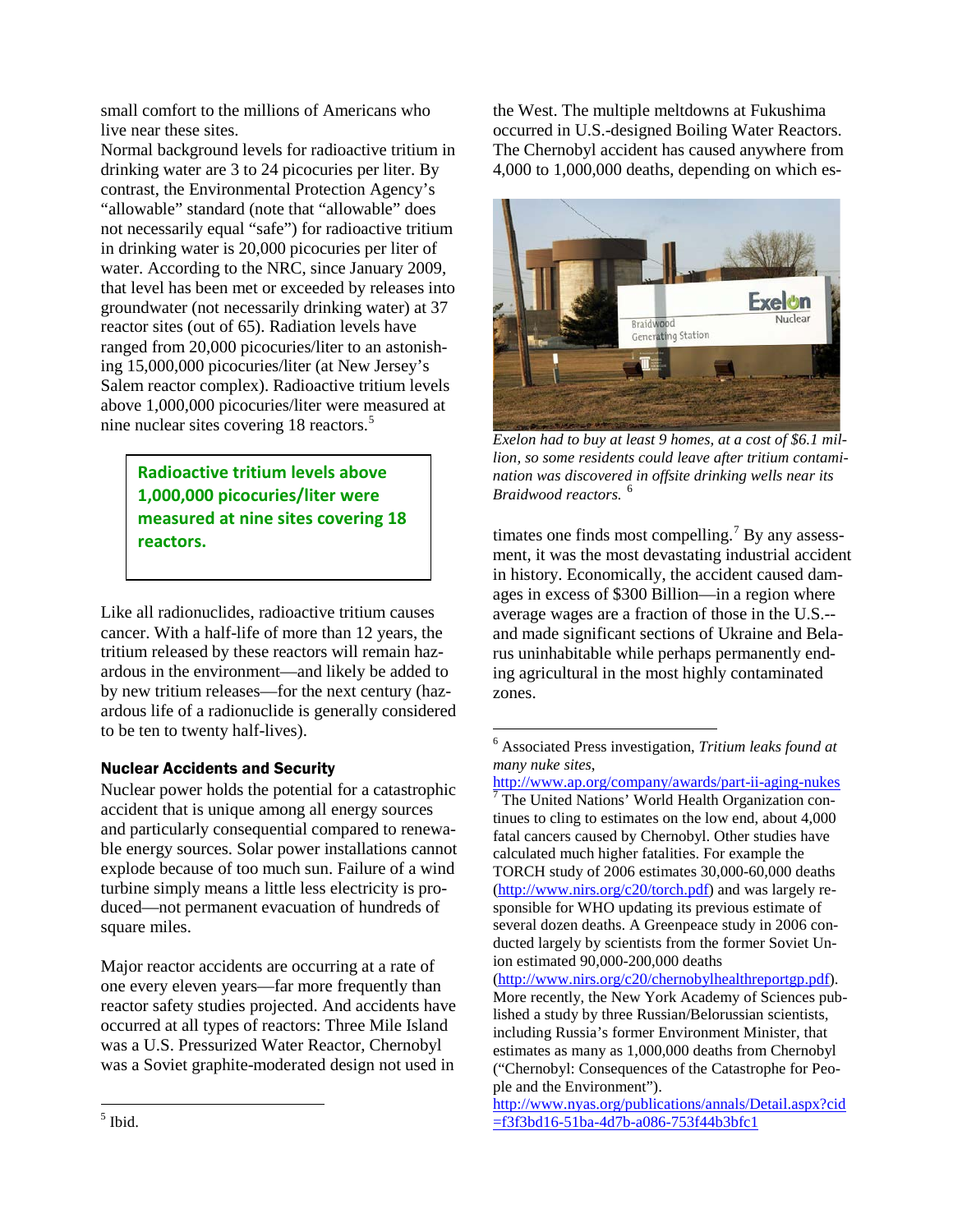small comfort to the millions of Americans who live near these sites.

Normal background levels for radioactive tritium in drinking water are 3 to 24 picocuries per liter. By contrast, the Environmental Protection Agency's "allowable" standard (note that "allowable" does not necessarily equal "safe") for radioactive tritium in drinking water is 20,000 picocuries per liter of water. According to the NRC, since January 2009, that level has been met or exceeded by releases into groundwater (not necessarily drinking water) at 37 reactor sites (out of 65). Radiation levels have ranged from 20,000 picocuries/liter to an astonishing 15,000,000 picocuries/liter (at New Jersey's Salem reactor complex). Radioactive tritium levels above 1,000,000 picocuries/liter were measured at nine nuclear sites covering 18 reactors.<sup>[5](#page-2-0)</sup>

> **Radioactive tritium levels above 1,000,000 picocuries/liter were measured at nine sites covering 18 reactors.**

Like all radionuclides, radioactive tritium causes cancer. With a half-life of more than 12 years, the tritium released by these reactors will remain hazardous in the environment—and likely be added to by new tritium releases—for the next century (hazardous life of a radionuclide is generally considered to be ten to twenty half-lives).

# <span id="page-2-1"></span>Nuclear Accidents and Security

<span id="page-2-2"></span>Nuclear power holds the potential for a catastrophic accident that is unique among all energy sources and particularly consequential compared to renewable energy sources. Solar power installations cannot explode because of too much sun. Failure of a wind turbine simply means a little less electricity is produced—not permanent evacuation of hundreds of square miles.

Major reactor accidents are occurring at a rate of one every eleven years—far more frequently than reactor safety studies projected. And accidents have occurred at all types of reactors: Three Mile Island was a U.S. Pressurized Water Reactor, Chernobyl was a Soviet graphite-moderated design not used in

the West. The multiple meltdowns at Fukushima occurred in U.S.-designed Boiling Water Reactors. The Chernobyl accident has caused anywhere from 4,000 to 1,000,000 deaths, depending on which es-



*Exelon had to buy at least 9 homes, at a cost of \$6.1 million, so some residents could leave after tritium contamination was discovered in offsite drinking wells near its Braidwood reactors.* [6](#page-2-1)

timates one finds most compelling.<sup>[7](#page-2-2)</sup> By any assessment, it was the most devastating industrial accident in history. Economically, the accident caused damages in excess of \$300 Billion—in a region where average wages are a fraction of those in the U.S.- and made significant sections of Ukraine and Belarus uninhabitable while perhaps permanently ending agricultural in the most highly contaminated zones.

<http://www.ap.org/company/awards/part-ii-aging-nukes>  $\frac{7}{7}$  The United Nations' World Health Organization continues to cling to estimates on the low end, about 4,000 fatal cancers caused by Chernobyl. Other studies have calculated much higher fatalities. For example the TORCH study of 2006 estimates 30,000-60,000 deaths [\(http://www.nirs.org/c20/torch.pdf\)](http://www.nirs.org/c20/torch.pdf) and was largely responsible for WHO updating its previous estimate of several dozen deaths. A Greenpeace study in 2006 conducted largely by scientists from the former Soviet Union estimated 90,000-200,000 deaths

[\(http://www.nirs.org/c20/chernobylhealthreportgp.pdf\)](http://www.nirs.org/c20/chernobylhealthreportgp.pdf). More recently, the New York Academy of Sciences published a study by three Russian/Belorussian scientists, including Russia's former Environment Minister, that estimates as many as 1,000,000 deaths from Chernobyl ("Chernobyl: Consequences of the Catastrophe for People and the Environment").

[http://www.nyas.org/publications/annals/Detail.aspx?cid](http://www.nyas.org/publications/annals/Detail.aspx?cid=f3f3bd16-51ba-4d7b-a086-753f44b3bfc1) [=f3f3bd16-51ba-4d7b-a086-753f44b3bfc1](http://www.nyas.org/publications/annals/Detail.aspx?cid=f3f3bd16-51ba-4d7b-a086-753f44b3bfc1)

 <sup>6</sup> Associated Press investigation, *Tritium leaks found at many nuke sites*,

<span id="page-2-0"></span> $<sup>5</sup>$  Ibid.</sup>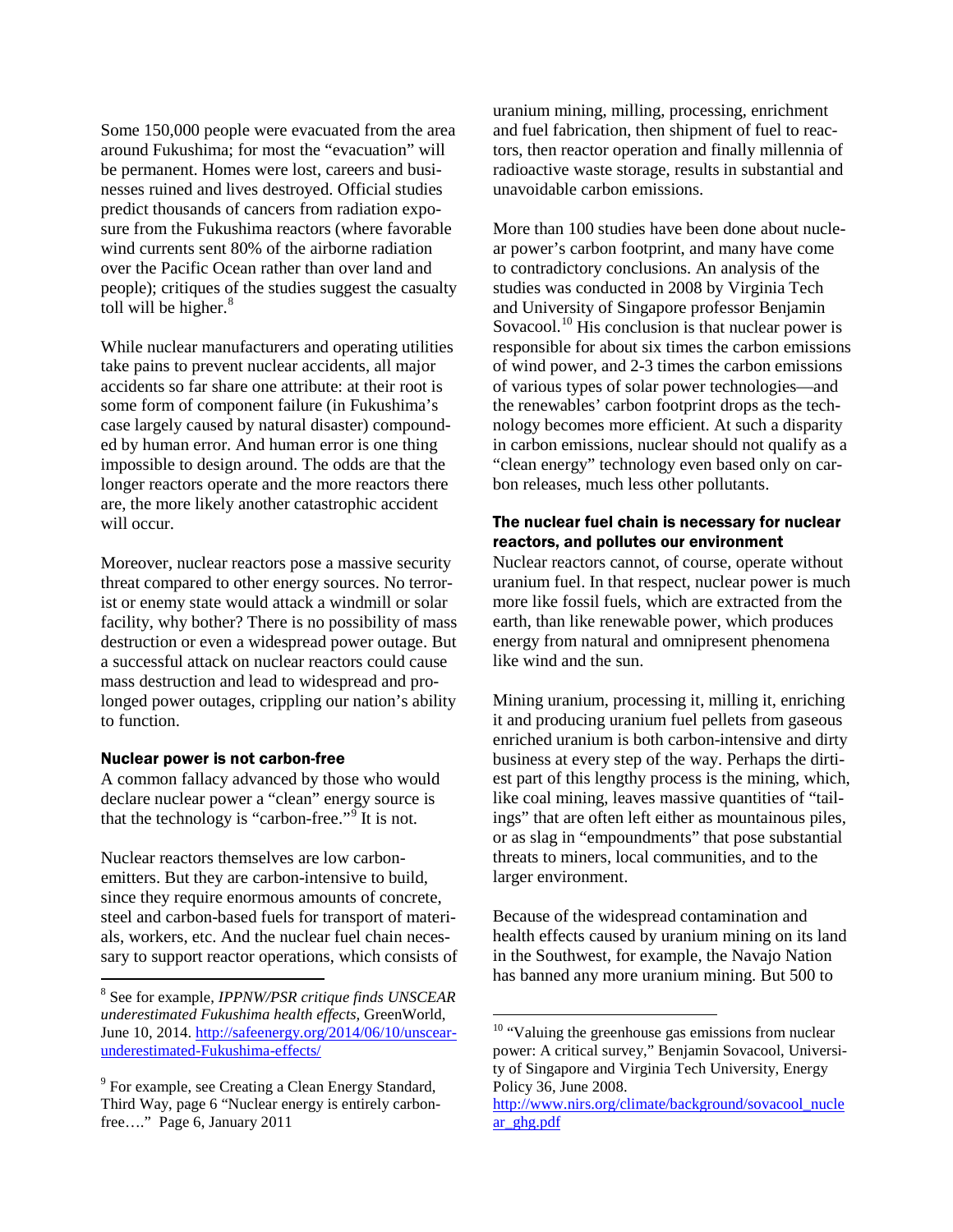Some 150,000 people were evacuated from the area around Fukushima; for most the "evacuation" will be permanent. Homes were lost, careers and businesses ruined and lives destroyed. Official studies predict thousands of cancers from radiation exposure from the Fukushima reactors (where favorable wind currents sent 80% of the airborne radiation over the Pacific Ocean rather than over land and people); critiques of the studies suggest the casualty toll will be higher. $8$ 

While nuclear manufacturers and operating utilities take pains to prevent nuclear accidents, all major accidents so far share one attribute: at their root is some form of component failure (in Fukushima's case largely caused by natural disaster) compounded by human error. And human error is one thing impossible to design around. The odds are that the longer reactors operate and the more reactors there are, the more likely another catastrophic accident will occur.

Moreover, nuclear reactors pose a massive security threat compared to other energy sources. No terrorist or enemy state would attack a windmill or solar facility, why bother? There is no possibility of mass destruction or even a widespread power outage. But a successful attack on nuclear reactors could cause mass destruction and lead to widespread and prolonged power outages, crippling our nation's ability to function.

#### Nuclear power is not carbon-free

A common fallacy advanced by those who would declare nuclear power a "clean" energy source is that the technology is "carbon-free."<sup>[9](#page-3-1)</sup> It is not.

Nuclear reactors themselves are low carbonemitters. But they are carbon-intensive to build, since they require enormous amounts of concrete, steel and carbon-based fuels for transport of materials, workers, etc. And the nuclear fuel chain necessary to support reactor operations, which consists of uranium mining, milling, processing, enrichment and fuel fabrication, then shipment of fuel to reactors, then reactor operation and finally millennia of radioactive waste storage, results in substantial and unavoidable carbon emissions.

More than 100 studies have been done about nuclear power's carbon footprint, and many have come to contradictory conclusions. An analysis of the studies was conducted in 2008 by Virginia Tech and University of Singapore professor Benjamin Sovacool.<sup>[10](#page-3-2)</sup> His conclusion is that nuclear power is responsible for about six times the carbon emissions of wind power, and 2-3 times the carbon emissions of various types of solar power technologies—and the renewables' carbon footprint drops as the technology becomes more efficient. At such a disparity in carbon emissions, nuclear should not qualify as a "clean energy" technology even based only on carbon releases, much less other pollutants.

#### The nuclear fuel chain is necessary for nuclear reactors, and pollutes our environment

Nuclear reactors cannot, of course, operate without uranium fuel. In that respect, nuclear power is much more like fossil fuels, which are extracted from the earth, than like renewable power, which produces energy from natural and omnipresent phenomena like wind and the sun.

Mining uranium, processing it, milling it, enriching it and producing uranium fuel pellets from gaseous enriched uranium is both carbon-intensive and dirty business at every step of the way. Perhaps the dirtiest part of this lengthy process is the mining, which, like coal mining, leaves massive quantities of "tailings" that are often left either as mountainous piles, or as slag in "empoundments" that pose substantial threats to miners, local communities, and to the larger environment.

Because of the widespread contamination and health effects caused by uranium mining on its land in the Southwest, for example, the Navajo Nation has banned any more uranium mining. But 500 to

<span id="page-3-2"></span><span id="page-3-0"></span> <sup>8</sup> See for example, *IPPNW/PSR critique finds UNSCEAR underestimated Fukushima health effects,* GreenWorld, June 10, 2014[. http://safeenergy.org/2014/06/10/unscear](http://safeenergy.org/2014/06/10/unscear-underestimated-Fukushima-effects/)[underestimated-Fukushima-effects/](http://safeenergy.org/2014/06/10/unscear-underestimated-Fukushima-effects/)

<span id="page-3-1"></span><sup>&</sup>lt;sup>9</sup> For example, see Creating a Clean Energy Standard, Third Way, page 6 "Nuclear energy is entirely carbonfree…." Page 6, January 2011

 $10$  "Valuing the greenhouse gas emissions from nuclear power: A critical survey," Benjamin Sovacool, University of Singapore and Virginia Tech University, Energy Policy 36, June 2008.

[http://www.nirs.org/climate/background/sovacool\\_nucle](http://www.nirs.org/climate/background/sovacool_nuclear_ghg.pdf) [ar\\_ghg.pdf](http://www.nirs.org/climate/background/sovacool_nuclear_ghg.pdf)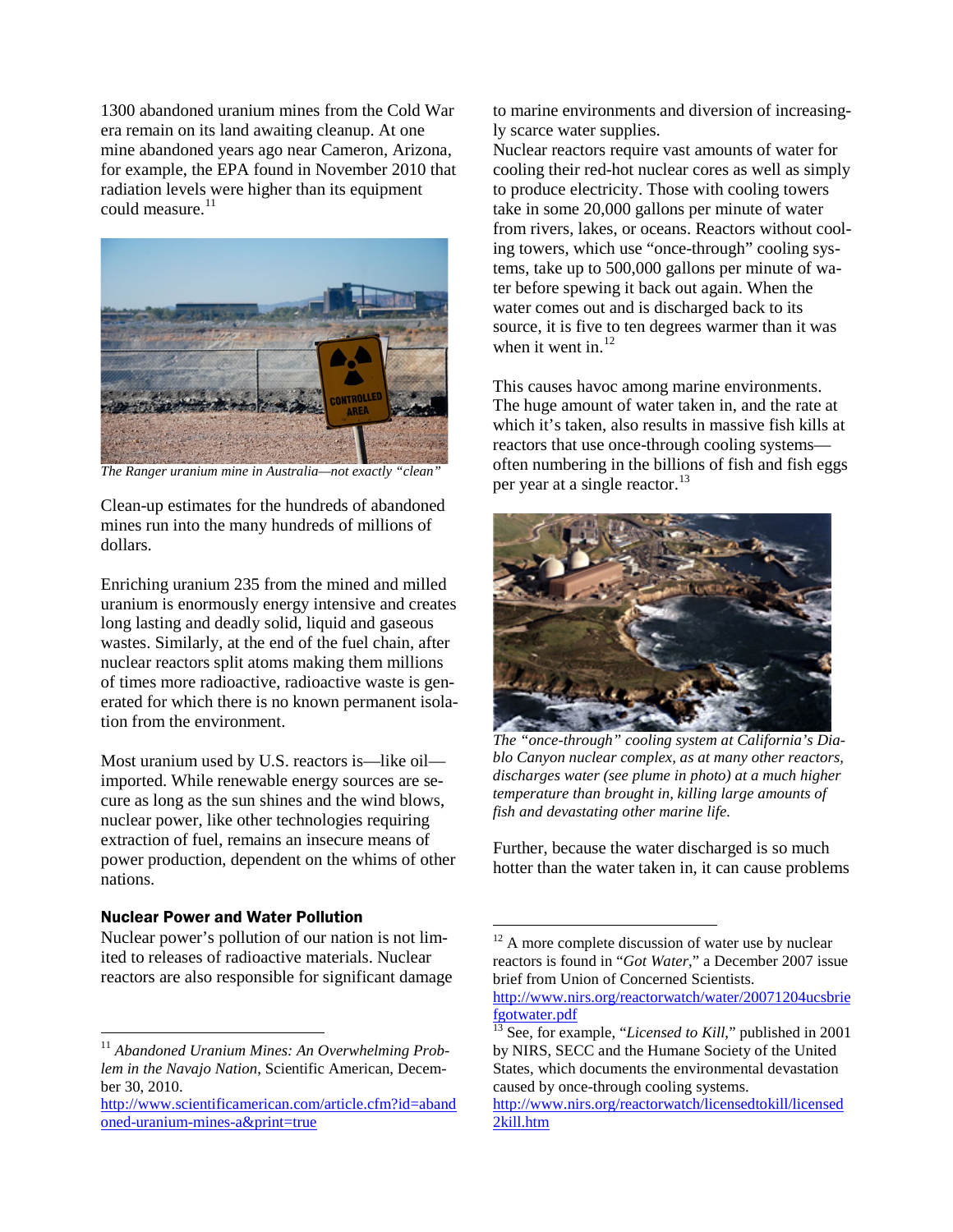1300 abandoned uranium mines from the Cold War era remain on its land awaiting cleanup. At one mine abandoned years ago near Cameron, Arizona, for example, the EPA found in November 2010 that radiation levels were higher than its equipment could measure.<sup>[11](#page-4-0)</sup>



*The Ranger uranium mine in Australia—not exactly "clean"*

Clean-up estimates for the hundreds of abandoned mines run into the many hundreds of millions of dollars.

Enriching uranium 235 from the mined and milled uranium is enormously energy intensive and creates long lasting and deadly solid, liquid and gaseous wastes. Similarly, at the end of the fuel chain, after nuclear reactors split atoms making them millions of times more radioactive, radioactive waste is generated for which there is no known permanent isolation from the environment.

Most uranium used by U.S. reactors is—like oil imported. While renewable energy sources are secure as long as the sun shines and the wind blows, nuclear power, like other technologies requiring extraction of fuel, remains an insecure means of power production, dependent on the whims of other nations.

#### Nuclear Power and Water Pollution

<span id="page-4-1"></span>Nuclear power's pollution of our nation is not limited to releases of radioactive materials. Nuclear reactors are also responsible for significant damage to marine environments and diversion of increasingly scarce water supplies.

Nuclear reactors require vast amounts of water for cooling their red-hot nuclear cores as well as simply to produce electricity. Those with cooling towers take in some 20,000 gallons per minute of water from rivers, lakes, or oceans. Reactors without cooling towers, which use "once-through" cooling systems, take up to 500,000 gallons per minute of water before spewing it back out again. When the water comes out and is discharged back to its source, it is five to ten degrees warmer than it was when it went in. $12$ 

This causes havoc among marine environments. The huge amount of water taken in, and the rate at which it's taken, also results in massive fish kills at reactors that use once-through cooling systems often numbering in the billions of fish and fish eggs per year at a single reactor.<sup>[13](#page-4-2)</sup>



*The "once-through" cooling system at California's Diablo Canyon nuclear complex, as at many other reactors, discharges water (see plume in photo) at a much higher temperature than brought in, killing large amounts of fish and devastating other marine life.*

Further, because the water discharged is so much hotter than the water taken in, it can cause problems

<span id="page-4-2"></span><span id="page-4-0"></span> <sup>11</sup> *Abandoned Uranium Mines: An Overwhelming Problem in the Navajo Nation*, Scientific American, December 30, 2010.

[http://www.scientificamerican.com/article.cfm?id=aband](http://www.scientificamerican.com/article.cfm?id=abandoned-uranium-mines-a&print=true) [oned-uranium-mines-a&print=true](http://www.scientificamerican.com/article.cfm?id=abandoned-uranium-mines-a&print=true) 

 $12$  A more complete discussion of water use by nuclear reactors is found in "*Got Water*," a December 2007 issue brief from Union of Concerned Scientists.

[http://www.nirs.org/reactorwatch/water/20071204ucsbrie](http://www.nirs.org/reactorwatch/water/20071204ucsbriefgotwater.pdf) [fgotwater.pdf 13](http://www.nirs.org/reactorwatch/water/20071204ucsbriefgotwater.pdf) See, for example, "*Licensed to Kill*," published in 2001

by NIRS, SECC and the Humane Society of the United States, which documents the environmental devastation caused by once-through cooling systems.

[http://www.nirs.org/reactorwatch/licensedtokill/licensed](http://www.nirs.org/reactorwatch/licensedtokill/licensed2kill.htm) [2kill.htm](http://www.nirs.org/reactorwatch/licensedtokill/licensed2kill.htm)